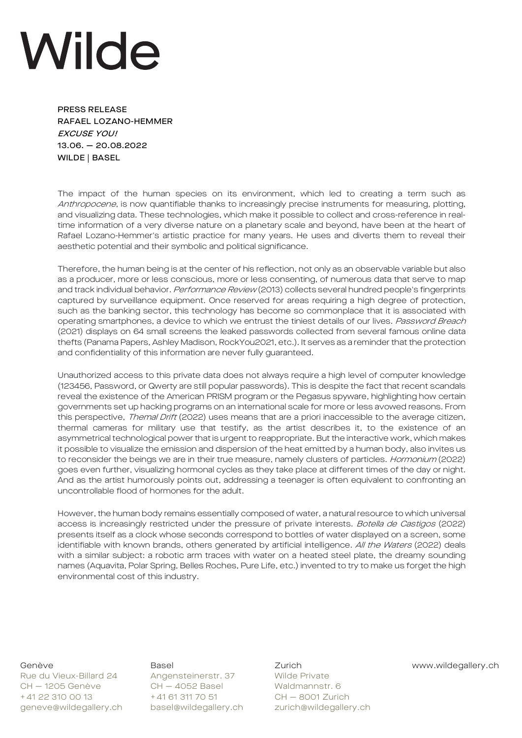## Wilde

PRESS RELEASE RAFAEL LOZANO-HEMMER EXCUSE YOU! 13.06. — 20.08.2022 WILDE | BASEL

The impact of the human species on its environment, which led to creating a term such as Anthropocene, is now quantifiable thanks to increasingly precise instruments for measuring, plotting, and visualizing data. These technologies, which make it possible to collect and cross-reference in realtime information of a very diverse nature on a planetary scale and beyond, have been at the heart of Rafael Lozano-Hemmer's artistic practice for many years. He uses and diverts them to reveal their aesthetic potential and their symbolic and political significance.

Therefore, the human being is at the center of his reflection, not only as an observable variable but also as a producer, more or less conscious, more or less consenting, of numerous data that serve to map and track individual behavior. Performance Review (2013) collects several hundred people's fingerprints captured by surveillance equipment. Once reserved for areas requiring a high degree of protection, such as the banking sector, this technology has become so commonplace that it is associated with operating smartphones, a device to which we entrust the tiniest details of our lives. Password Breach (2021) displays on 64 small screens the leaked passwords collected from several famous online data thefts (Panama Papers, Ashley Madison, RockYou2021, etc.). It serves as a reminder that the protection and confidentiality of this information are never fully guaranteed.

Unauthorized access to this private data does not always require a high level of computer knowledge (123456, Password, or Qwerty are still popular passwords). This is despite the fact that recent scandals reveal the existence of the American PRISM program or the Pegasus spyware, highlighting how certain governments set up hacking programs on an international scale for more or less avowed reasons. From this perspective, Themal Drift (2022) uses means that are a priori inaccessible to the average citizen, thermal cameras for military use that testify, as the artist describes it, to the existence of an asymmetrical technological power that is urgent to reappropriate. But the interactive work, which makes it possible to visualize the emission and dispersion of the heat emitted by a human body, also invites us to reconsider the beings we are in their true measure, namely clusters of particles. Hormonium (2022) goes even further, visualizing hormonal cycles as they take place at different times of the day or night. And as the artist humorously points out, addressing a teenager is often equivalent to confronting an uncontrollable flood of hormones for the adult.

However, the human body remains essentially composed of water, a natural resource to which universal access is increasingly restricted under the pressure of private interests. Botella de Castigos (2022) presents itself as a clock whose seconds correspond to bottles of water displayed on a screen, some identifiable with known brands, others generated by artificial intelligence. All the Waters (2022) deals with a similar subject: a robotic arm traces with water on a heated steel plate, the dreamy sounding names (Aquavita, Polar Spring, Belles Roches, Pure Life, etc.) invented to try to make us forget the high environmental cost of this industry.

Rue du Vieux-Billard 24 Angensteinerstr. 37 Wilde Private CH — 1205 Genève CH — 4052 Basel Waldmannstr. 6 + 41 22 310 00 13 + 41 61 311 70 51 CH - 8001 Zurich geneve@wildegallery.ch basel@wildegallery.ch zurich@wildegallery.ch

Genève **Basel Basel** Basel Zurich Www.wildegallery.ch